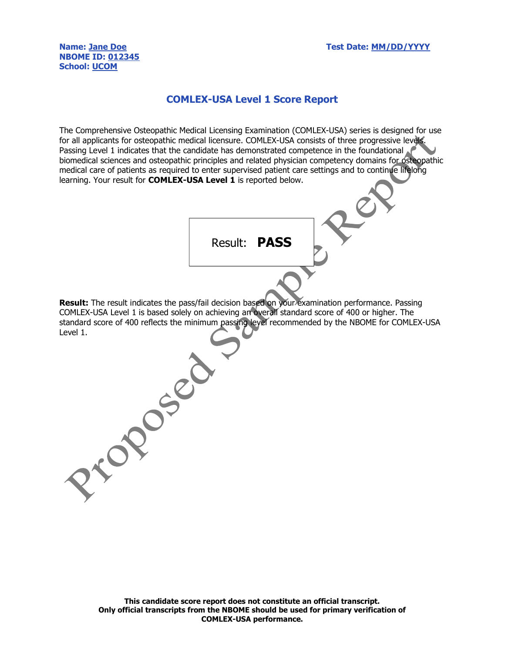## NBOME ID: 012345 School: UCOM

Proposed

## COMLEX-USA Level 1 Score Report

The Comprehensive Osteopathic Medical Licensing Examination (COMLEX-USA) series is designed for use for all applicants for osteopathic medical licensure. COMLEX-USA consists of three progressive levels. Passing Level 1 indicates that the candidate has demonstrated competence in the foundational biomedical sciences and osteopathic principles and related physician competency domains for osteopathic medical care of patients as required to enter supervised patient care settings and to continue lifelong learning. Your result for **COMLEX-USA Level 1** is reported below.

**Result:** The result indicates the pass/fail decision based on your examination performance. Passing COMLEX-USA Level 1 is based solely on achieving an overall standard score of 400 or higher. The standard score of 400 reflects the minimum passing level recommended by the NBOME for COMLEX-USA Level 1.

Result: PASS